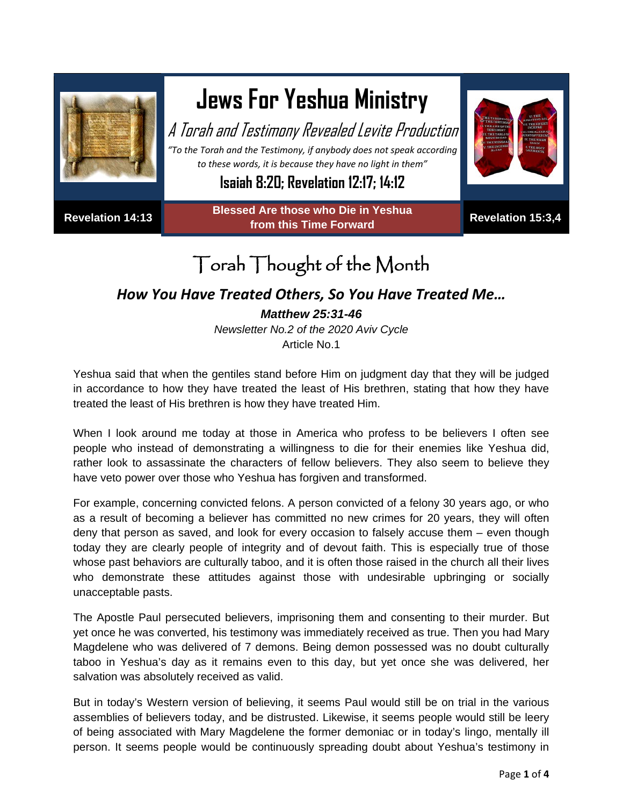

## **Jews For Yeshua Ministry**

A Torah and Testimony Revealed Levite Production

*"To the Torah and the Testimony, if anybody does not speak according to these words, it is because they have no light in them"*

**Isaiah 8:20; Revelation 12:17; 14:12**

**Revelation 14:13 Blessed Are those who Die in Yeshua from this Time Forward Revelation 15:3,4**



## Torah Thought of the Month

## *How You Have Treated Others, So You Have Treated Me… Matthew 25:31-46*

*Newsletter No.2 of the 2020 Aviv Cycle* Article No.1

Yeshua said that when the gentiles stand before Him on judgment day that they will be judged in accordance to how they have treated the least of His brethren, stating that how they have treated the least of His brethren is how they have treated Him.

When I look around me today at those in America who profess to be believers I often see people who instead of demonstrating a willingness to die for their enemies like Yeshua did, rather look to assassinate the characters of fellow believers. They also seem to believe they have veto power over those who Yeshua has forgiven and transformed.

For example, concerning convicted felons. A person convicted of a felony 30 years ago, or who as a result of becoming a believer has committed no new crimes for 20 years, they will often deny that person as saved, and look for every occasion to falsely accuse them – even though today they are clearly people of integrity and of devout faith. This is especially true of those whose past behaviors are culturally taboo, and it is often those raised in the church all their lives who demonstrate these attitudes against those with undesirable upbringing or socially unacceptable pasts.

The Apostle Paul persecuted believers, imprisoning them and consenting to their murder. But yet once he was converted, his testimony was immediately received as true. Then you had Mary Magdelene who was delivered of 7 demons. Being demon possessed was no doubt culturally taboo in Yeshua's day as it remains even to this day, but yet once she was delivered, her salvation was absolutely received as valid.

But in today's Western version of believing, it seems Paul would still be on trial in the various assemblies of believers today, and be distrusted. Likewise, it seems people would still be leery of being associated with Mary Magdelene the former demoniac or in today's lingo, mentally ill person. It seems people would be continuously spreading doubt about Yeshua's testimony in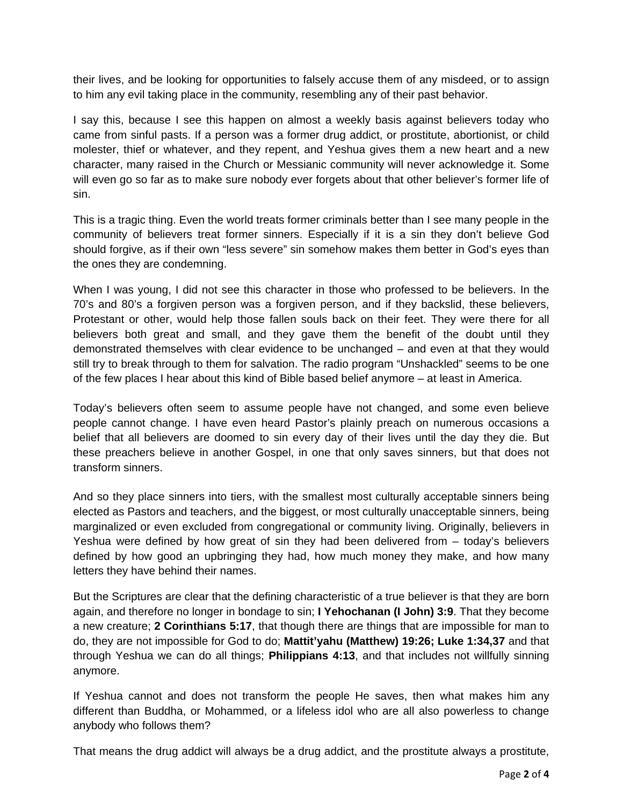their lives, and be looking for opportunities to falsely accuse them of any misdeed, or to assign to him any evil taking place in the community, resembling any of their past behavior.

I say this, because I see this happen on almost a weekly basis against believers today who came from sinful pasts. If a person was a former drug addict, or prostitute, abortionist, or child molester, thief or whatever, and they repent, and Yeshua gives them a new heart and a new character, many raised in the Church or Messianic community will never acknowledge it. Some will even go so far as to make sure nobody ever forgets about that other believer's former life of sin.

This is a tragic thing. Even the world treats former criminals better than I see many people in the community of believers treat former sinners. Especially if it is a sin they don't believe God should forgive, as if their own "less severe" sin somehow makes them better in God's eyes than the ones they are condemning.

When I was young, I did not see this character in those who professed to be believers. In the 70's and 80's a forgiven person was a forgiven person, and if they backslid, these believers, Protestant or other, would help those fallen souls back on their feet. They were there for all believers both great and small, and they gave them the benefit of the doubt until they demonstrated themselves with clear evidence to be unchanged – and even at that they would still try to break through to them for salvation. The radio program "Unshackled" seems to be one of the few places I hear about this kind of Bible based belief anymore – at least in America.

Today's believers often seem to assume people have not changed, and some even believe people cannot change. I have even heard Pastor's plainly preach on numerous occasions a belief that all believers are doomed to sin every day of their lives until the day they die. But these preachers believe in another Gospel, in one that only saves sinners, but that does not transform sinners.

And so they place sinners into tiers, with the smallest most culturally acceptable sinners being elected as Pastors and teachers, and the biggest, or most culturally unacceptable sinners, being marginalized or even excluded from congregational or community living. Originally, believers in Yeshua were defined by how great of sin they had been delivered from – today's believers defined by how good an upbringing they had, how much money they make, and how many letters they have behind their names.

But the Scriptures are clear that the defining characteristic of a true believer is that they are born again, and therefore no longer in bondage to sin; **I Yehochanan (I John) 3:9**. That they become a new creature; **2 Corinthians 5:17**, that though there are things that are impossible for man to do, they are not impossible for God to do; **Mattit'yahu (Matthew) 19:26; Luke 1:34,37** and that through Yeshua we can do all things; **Philippians 4:13**, and that includes not willfully sinning anymore.

If Yeshua cannot and does not transform the people He saves, then what makes him any different than Buddha, or Mohammed, or a lifeless idol who are all also powerless to change anybody who follows them?

That means the drug addict will always be a drug addict, and the prostitute always a prostitute,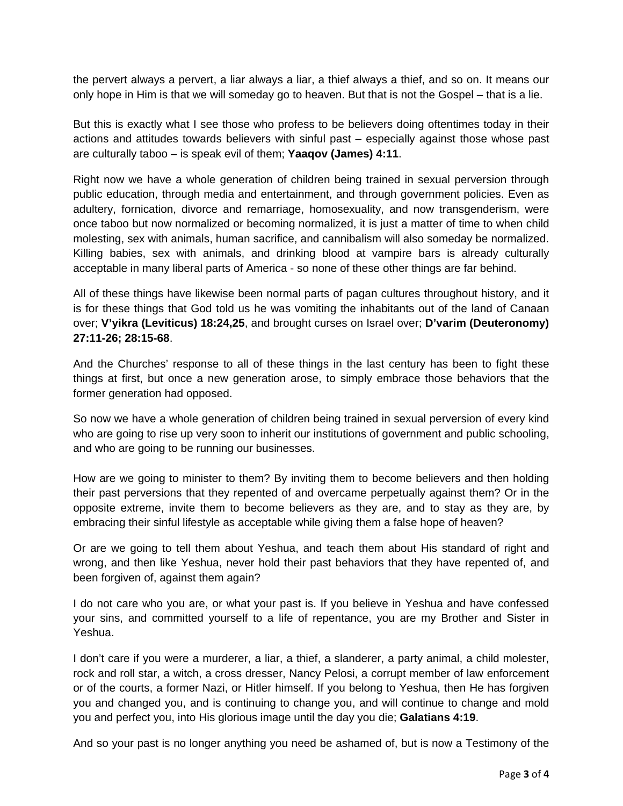the pervert always a pervert, a liar always a liar, a thief always a thief, and so on. It means our only hope in Him is that we will someday go to heaven. But that is not the Gospel – that is a lie.

But this is exactly what I see those who profess to be believers doing oftentimes today in their actions and attitudes towards believers with sinful past – especially against those whose past are culturally taboo – is speak evil of them; **Yaaqov (James) 4:11**.

Right now we have a whole generation of children being trained in sexual perversion through public education, through media and entertainment, and through government policies. Even as adultery, fornication, divorce and remarriage, homosexuality, and now transgenderism, were once taboo but now normalized or becoming normalized, it is just a matter of time to when child molesting, sex with animals, human sacrifice, and cannibalism will also someday be normalized. Killing babies, sex with animals, and drinking blood at vampire bars is already culturally acceptable in many liberal parts of America - so none of these other things are far behind.

All of these things have likewise been normal parts of pagan cultures throughout history, and it is for these things that God told us he was vomiting the inhabitants out of the land of Canaan over; **V'yikra (Leviticus) 18:24,25**, and brought curses on Israel over; **D'varim (Deuteronomy) 27:11-26; 28:15-68**.

And the Churches' response to all of these things in the last century has been to fight these things at first, but once a new generation arose, to simply embrace those behaviors that the former generation had opposed.

So now we have a whole generation of children being trained in sexual perversion of every kind who are going to rise up very soon to inherit our institutions of government and public schooling, and who are going to be running our businesses.

How are we going to minister to them? By inviting them to become believers and then holding their past perversions that they repented of and overcame perpetually against them? Or in the opposite extreme, invite them to become believers as they are, and to stay as they are, by embracing their sinful lifestyle as acceptable while giving them a false hope of heaven?

Or are we going to tell them about Yeshua, and teach them about His standard of right and wrong, and then like Yeshua, never hold their past behaviors that they have repented of, and been forgiven of, against them again?

I do not care who you are, or what your past is. If you believe in Yeshua and have confessed your sins, and committed yourself to a life of repentance, you are my Brother and Sister in Yeshua.

I don't care if you were a murderer, a liar, a thief, a slanderer, a party animal, a child molester, rock and roll star, a witch, a cross dresser, Nancy Pelosi, a corrupt member of law enforcement or of the courts, a former Nazi, or Hitler himself. If you belong to Yeshua, then He has forgiven you and changed you, and is continuing to change you, and will continue to change and mold you and perfect you, into His glorious image until the day you die; **Galatians 4:19**.

And so your past is no longer anything you need be ashamed of, but is now a Testimony of the